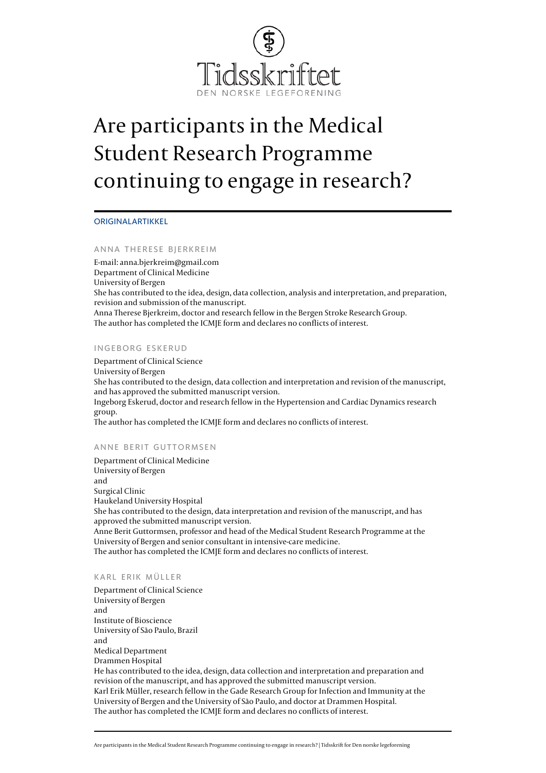

# Are participants in the Medical Student Research Programme continuing to engage in research?

### ORIGINALARTIKKEL

### ANNA THERESE BJERKREIM

E-mail: [anna.bjerkreim@gmail.com](mailto:anna.bjerkreim@gmail.com) Department of Clinical Medicine University of Bergen She has contributed to the idea, design, data collection, analysis and interpretation, and preparation, revision and submission of the manuscript. Anna Therese Bjerkreim, doctor and research fellow in the Bergen Stroke Research Group. The author has completed the [ICMJE form](http://www.icmje.org/coi_disclosure.pdf) and declares no conflicts of interest.

### INGEBORG ESKERUD

Department of Clinical Science University of Bergen She has contributed to the design, data collection and interpretation and revision of the manuscript, and has approved the submitted manuscript version. Ingeborg Eskerud, doctor and research fellow in the Hypertension and Cardiac Dynamics research group. The author has completed the [ICMJE form](http://www.icmje.org/coi_disclosure.pdf) and declares no conflicts of interest.

### ANNE BERIT GUTTORMSEN

Department of Clinical Medicine University of Bergen and Surgical Clinic Haukeland University Hospital She has contributed to the design, data interpretation and revision of the manuscript, and has approved the submitted manuscript version. Anne Berit Guttormsen, professor and head of the Medical Student Research Programme at the University of Bergen and senior consultant in intensive-care medicine. The author has completed the [ICMJE form](http://www.icmje.org/coi_disclosure.pdf) and declares no conflicts of interest.

### KARL ERIK MÜLLER

Department of Clinical Science University of Bergen and Institute of Bioscience University of São Paulo, Brazil and Medical Department Drammen Hospital He has contributed to the idea, design, data collection and interpretation and preparation and revision of the manuscript, and has approved the submitted manuscript version. Karl Erik Müller, research fellow in the Gade Research Group for Infection and Immunity at the University of Bergen and the University of São Paulo, and doctor at Drammen Hospital. The author has completed the [ICMJE form](http://www.icmje.org/coi_disclosure.pdf) and declares no conflicts of interest.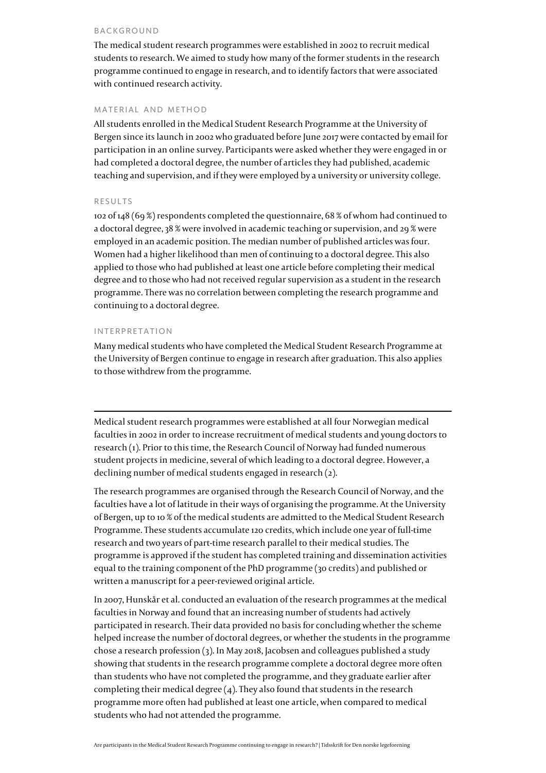### BACKGROUND

The medical student research programmes were established in 2002 to recruit medical students to research. We aimed to study how many of the former students in the research programme continued to engage in research, and to identify factors that were associated with continued research activity.

### MATERIAL AND METHOD

All students enrolled in the Medical Student Research Programme at the University of Bergen since its launch in 2002 who graduated before June 2017 were contacted by email for participation in an online survey. Participants were asked whether they were engaged in or had completed a doctoral degree, the number of articles they had published, academic teaching and supervision, and if they were employed by a university or university college.

### RESULTS

102 of 148 (69 %) respondents completed the questionnaire, 68 % of whom had continued to a doctoral degree, 38 % were involved in academic teaching or supervision, and 29 % were employed in an academic position. The median number of published articles was four. Women had a higher likelihood than men of continuing to a doctoral degree. This also applied to those who had published at least one article before completing their medical degree and to those who had not received regular supervision as a student in the research programme. There was no correlation between completing the research programme and continuing to a doctoral degree.

### INTERPRETATION

Many medical students who have completed the Medical Student Research Programme at the University of Bergen continue to engage in research after graduation. This also applies to those withdrew from the programme.

Medical student research programmes were established at all four Norwegian medical faculties in 2002 in order to increase recruitment of medical students and young doctors to research [\(1\)](#page--1-0). Prior to this time, the Research Council of Norway had funded numerous student projects in medicine, several of which leading to a doctoral degree. However, a declining number of medical students engaged in research ([2](#page--1-0)).

The research programmes are organised through the Research Council of Norway, and the faculties have a lot of latitude in their ways of organising the programme. At the University of Bergen, up to 10 % of the medical students are admitted to the Medical Student Research Programme. These students accumulate 120 credits, which include one year of full-time research and two years of part-time research parallel to their medical studies. The programme is approved if the student has completed training and dissemination activities equal to the training component of the PhD programme (30 credits) and published or written a manuscript for a peer-reviewed original article.

In 2007, Hunskår et al. conducted an evaluation of the research programmes at the medical faculties in Norway and found that an increasing number of students had actively participated in research. Their data provided no basis for concluding whether the scheme helped increase the number of doctoral degrees, or whether the students in the programme chose a research profession [\(3](#page--1-0)). In May 2018, Jacobsen and colleagues published a study showing that students in the research programme complete a doctoral degree more often than students who have not completed the programme, and they graduate earlier after completing their medical degree  $(4)$  $(4)$ . They also found that students in the research programme more often had published at least one article, when compared to medical students who had not attended the programme.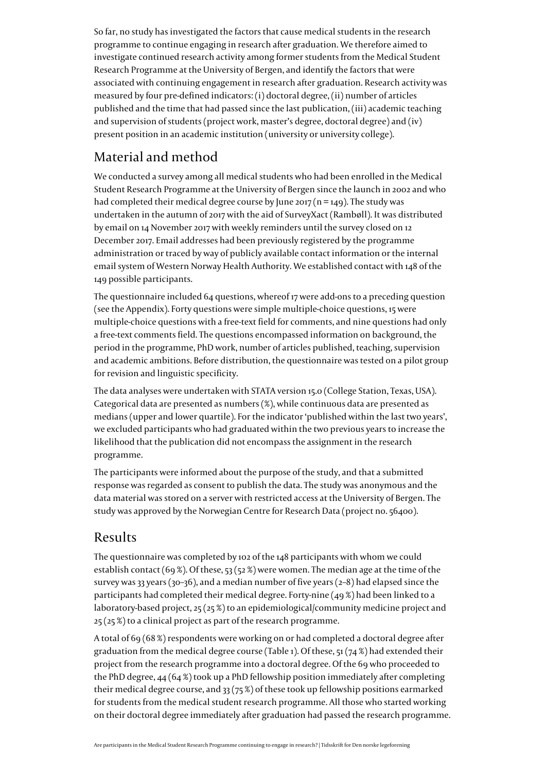So far, no study has investigated the factors that cause medical students in the research programme to continue engaging in research after graduation. We therefore aimed to investigate continued research activity among former students from the Medical Student Research Programme at the University of Bergen, and identify the factors that were associated with continuing engagement in research after graduation. Research activity was measured by four pre-defined indicators: (i) doctoral degree, (ii) number of articles published and the time that had passed since the last publication, (iii) academic teaching and supervision of students (project work, master's degree, doctoral degree) and (iv) present position in an academic institution (university or university college).

# Material and method

We conducted a survey among all medical students who had been enrolled in the Medical Student Research Programme at the University of Bergen since the launch in 2002 and who had completed their medical degree course by June 2017 ( $n = 149$ ). The study was undertaken in the autumn of 2017 with the aid of SurveyXact (Rambøll). It was distributed by email on 14 November 2017 with weekly reminders until the survey closed on 12 December 2017. Email addresses had been previously registered by the programme administration or traced by way of publicly available contact information or the internal email system of Western Norway Health Authority. We established contact with 148 of the 149 possible participants.

The questionnaire included 64 questions, whereof 17 were add-ons to a preceding question (see the [Appendix](https://tidsskriftet.no/sites/default/files/bjerkreim-appendiks-eng.pdf)). Forty questions were simple multiple-choice questions, 15 were multiple-choice questions with a free-text field for comments, and nine questions had only a free-text comments field. The questions encompassed information on background, the period in the programme, PhD work, number of articles published, teaching, supervision and academic ambitions. Before distribution, the questionnaire was tested on a pilot group for revision and linguistic specificity.

The data analyses were undertaken with STATA version 15.0 (College Station, Texas, USA). Categorical data are presented as numbers (%), while continuous data are presented as medians (upper and lower quartile). For the indicator 'published within the last two years', we excluded participants who had graduated within the two previous years to increase the likelihood that the publication did not encompass the assignment in the research programme.

The participants were informed about the purpose of the study, and that a submitted response was regarded as consent to publish the data. The study was anonymous and the data material was stored on a server with restricted access at the University of Bergen. The study was approved by the Norwegian Centre for Research Data (project no. 56400).

### Results

The questionnaire was completed by 102 of the 148 participants with whom we could establish contact (69 %). Of these, 53 (52 %) were women. The median age at the time of the survey was 33 years (30–36), and a median number of five years (2–8) had elapsed since the participants had completed their medical degree. Forty-nine (49 %) had been linked to a laboratory-based project, 25 (25 %) to an epidemiological/community medicine project and 25 (25 %) to a clinical project as part of the research programme.

A total of 69 (68 %) respondents were working on or had completed a doctoral degree after graduation from the medical degree course (Table 1). Of these,  $51(74%)$  had extended their project from the research programme into a doctoral degree. Of the 69 who proceeded to the PhD degree,  $44 (64%)$  took up a PhD fellowship position immediately after completing their medical degree course, and 33 (75 %) of these took up fellowship positions earmarked for students from the medical student research programme. All those who started working on their doctoral degree immediately after graduation had passed the research programme.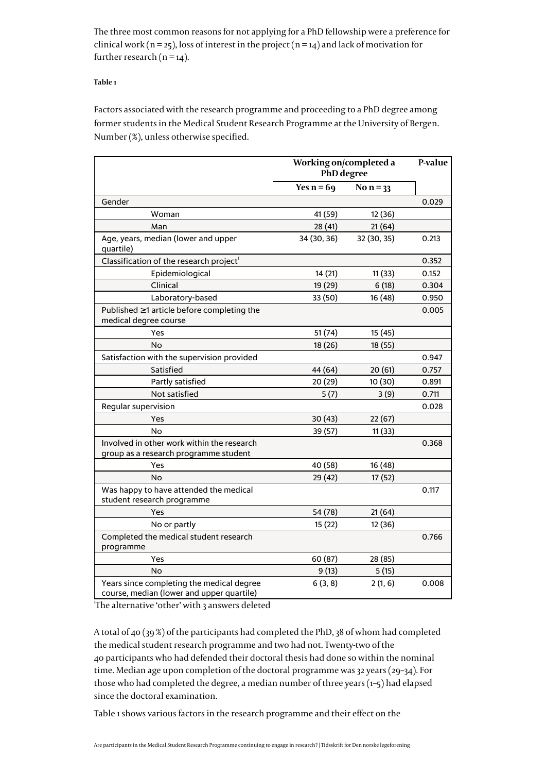The three most common reasons for not applying for a PhD fellowship were a preference for clinical work ( $n = 25$ ), loss of interest in the project ( $n = 14$ ) and lack of motivation for further research  $(n = 14)$ .

### **Table 1**

Factors associated with the research programme and proceeding to a PhD degree among former students in the Medical Student Research Programme at the University of Bergen. Number (%), unless otherwise specified.

|                                                                                        | Working on/completed a<br>PhD degree |             | P-value |
|----------------------------------------------------------------------------------------|--------------------------------------|-------------|---------|
|                                                                                        | Yes $n = 69$                         | No $n = 33$ |         |
| Gender                                                                                 |                                      |             | 0.029   |
| Woman                                                                                  | 41 (59)                              | 12 (36)     |         |
| Man                                                                                    | 28 (41)                              | 21(64)      |         |
| Age, years, median (lower and upper<br>quartile)                                       | 34 (30, 36)                          | 32 (30, 35) | 0.213   |
| Classification of the research project <sup>1</sup>                                    |                                      |             | 0.352   |
| Epidemiological                                                                        | 14(21)                               | 11(33)      | 0.152   |
| Clinical                                                                               | 19 (29)                              | 6(18)       | 0.304   |
| Laboratory-based                                                                       | 33 (50)                              | 16 (48)     | 0.950   |
| Published ≥1 article before completing the<br>medical degree course                    |                                      |             | 0.005   |
| Yes                                                                                    | 51(74)                               | 15 (45)     |         |
| No                                                                                     | 18 (26)                              | 18 (55)     |         |
| Satisfaction with the supervision provided                                             |                                      |             | 0.947   |
| Satisfied                                                                              | 44 (64)                              | 20(61)      | 0.757   |
| Partly satisfied                                                                       | 20 (29)                              | 10 (30)     | 0.891   |
| Not satisfied                                                                          | 5(7)                                 | 3(9)        | 0.711   |
| Regular supervision                                                                    |                                      |             | 0.028   |
| Yes                                                                                    | 30(43)                               | 22(67)      |         |
| No                                                                                     | 39 (57)                              | 11(33)      |         |
| Involved in other work within the research<br>group as a research programme student    |                                      |             | 0.368   |
| Yes                                                                                    | 40 (58)                              | 16 (48)     |         |
| No                                                                                     | 29 (42)                              | 17 (52)     |         |
| Was happy to have attended the medical<br>student research programme                   |                                      |             | 0.117   |
| Yes                                                                                    | 54 (78)                              | 21(64)      |         |
| No or partly                                                                           | 15(22)                               | 12 (36)     |         |
| Completed the medical student research<br>programme                                    |                                      |             | 0.766   |
| Yes                                                                                    | 60 (87)                              | 28 (85)     |         |
| No                                                                                     | 9(13)                                | 5(15)       |         |
| Years since completing the medical degree<br>course, median (lower and upper quartile) | 6(3, 8)                              | 2(1, 6)     | 0.008   |

'The alternative 'other' with 3 answers deleted

A total of 40 (39 %) of the participants had completed the PhD, 38 of whom had completed the medical student research programme and two had not. Twenty-two of the 40 participants who had defended their doctoral thesis had done so within the nominal time. Median age upon completion of the doctoral programme was 32 years (29–34). For those who had completed the degree, a median number of three years ([1–5](#page--1-0)) had elapsed since the doctoral examination.

Table 1 shows various factors in the research programme and their effect on the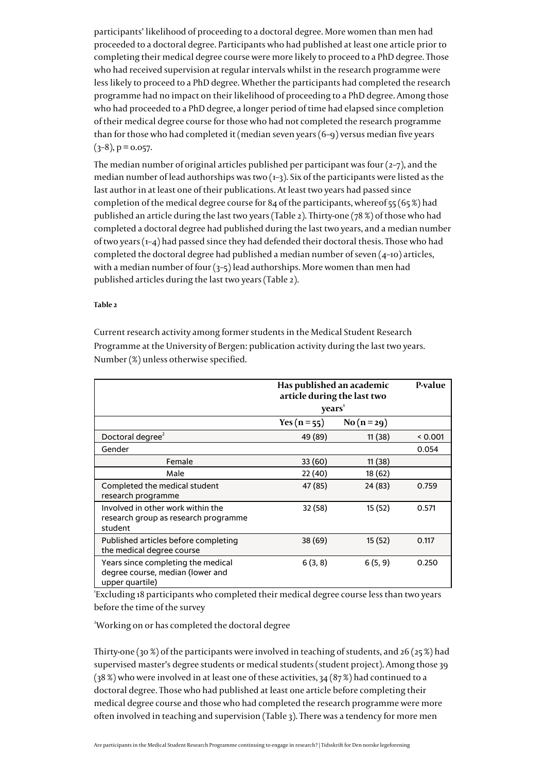participants' likelihood of proceeding to a doctoral degree. More women than men had proceeded to a doctoral degree. Participants who had published at least one article prior to completing their medical degree course were more likely to proceed to a PhD degree. Those who had received supervision at regular intervals whilst in the research programme were less likely to proceed to a PhD degree. Whether the participants had completed the research programme had no impact on their likelihood of proceeding to a PhD degree. Among those who had proceeded to a PhD degree, a longer period of time had elapsed since completion of their medical degree course for those who had not completed the research programme than for those who had completed it (median seven years (6–9) versus median five years  $(3-8)$ , p = 0.057.

The median number of original articles published per participant was four  $(2-7)$ , and the median number of lead authorships was two  $(1-3)$ . Six of the participants were listed as the last author in at least one of their publications. At least two years had passed since completion of the medical degree course for 84 of the participants, whereof  $55(65\%)$  had published an article during the last two years (Table 2). Thirty-one (78 %) of those who had completed a doctoral degree had published during the last two years, and a median number of two years [\(1–4\)](#page--1-0) had passed since they had defended their doctoral thesis. Those who had completed the doctoral degree had published a median number of seven (4–10) articles, with a median number of four  $(3-5)$  lead authorships. More women than men had published articles during the last two years (Table 2).

### **Table 2**

Current research activity among former students in the Medical Student Research Programme at the University of Bergen: publication activity during the last two years. Number (%) unless otherwise specified.

|                                                                                           | Has published an academic<br>article during the last two<br>years <sup>1</sup> |            | P-value |
|-------------------------------------------------------------------------------------------|--------------------------------------------------------------------------------|------------|---------|
|                                                                                           | Yes ( $n = 55$ )                                                               | $No(n=29)$ |         |
| Doctoral degree <sup>2</sup>                                                              | 49 (89)                                                                        | 11(38)     | 0.001   |
| Gender                                                                                    |                                                                                |            | 0.054   |
| Female                                                                                    | 33 (60)                                                                        | 11(38)     |         |
| Male                                                                                      | 22 (40)                                                                        | 18 (62)    |         |
| Completed the medical student<br>research programme                                       | 47 (85)                                                                        | 24 (83)    | 0.759   |
| Involved in other work within the<br>research group as research programme<br>student      | 32 (58)                                                                        | 15 (52)    | 0.571   |
| Published articles before completing<br>the medical degree course                         | 38 (69)                                                                        | 15(52)     | 0.117   |
| Years since completing the medical<br>degree course, median (lower and<br>upper quartile) | 6(3, 8)                                                                        | 6(5, 9)    | 0.250   |

1 Excluding 18 participants who completed their medical degree course less than two years before the time of the survey

<sup>2</sup>Working on or has completed the doctoral degree

Thirty-one (30 %) of the participants were involved in teaching of students, and 26 (25 %) had supervised master's degree students or medical students (student project). Among those 39 (38 %) who were involved in at least one of these activities, 34 (87 %) had continued to a doctoral degree. Those who had published at least one article before completing their medical degree course and those who had completed the research programme were more often involved in teaching and supervision (Table 3). There was a tendency for more men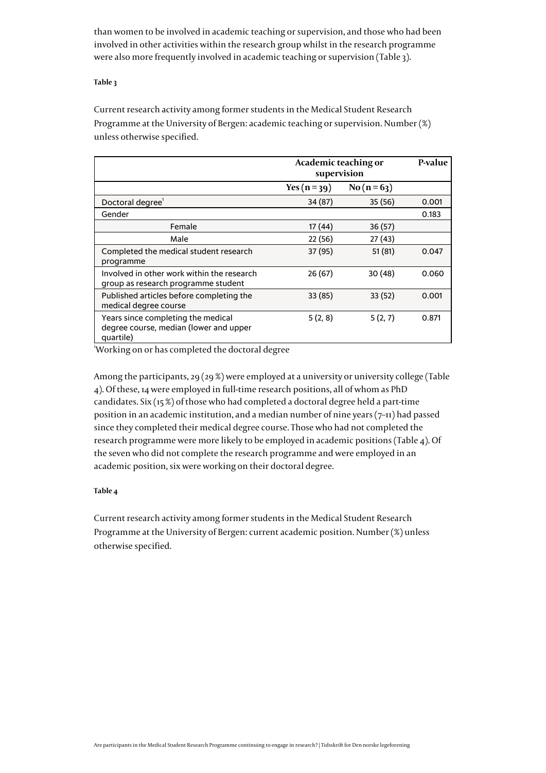than women to be involved in academic teaching or supervision, and those who had been involved in other activities within the research group whilst in the research programme were also more frequently involved in academic teaching or supervision (Table 3).

### **Table 3**

Current research activity among former students in the Medical Student Research Programme at the University of Bergen: academic teaching or supervision. Number (%) unless otherwise specified.

|                                                                                           | Academic teaching or<br>supervision |            | P-value |
|-------------------------------------------------------------------------------------------|-------------------------------------|------------|---------|
|                                                                                           | Yes $(n=39)$                        | $No(n=63)$ |         |
| Doctoral degree <sup>1</sup>                                                              | 34 (87)                             | 35(56)     | 0.001   |
| Gender                                                                                    |                                     |            | 0.183   |
| Female                                                                                    | 17 (44)                             | 36(57)     |         |
| Male                                                                                      | 22 (56)                             | 27 (43)    |         |
| Completed the medical student research<br>programme                                       | 37 (95)                             | 51(81)     | 0.047   |
| Involved in other work within the research<br>group as research programme student         | 26 (67)                             | 30(48)     | 0.060   |
| Published articles before completing the<br>medical degree course                         | 33 (85)                             | 33(52)     | 0.001   |
| Years since completing the medical<br>degree course, median (lower and upper<br>quartile) | 5(2, 8)                             | 5(2, 7)    | 0.871   |

<sup>1</sup>Working on or has completed the doctoral degree

Among the participants, 29 (29 %) were employed at a university or university college (Table 4). Of these, 14 were employed in full-time research positions, all of whom as PhD candidates. Six (15 %) of those who had completed a doctoral degree held a part-time position in an academic institution, and a median number of nine years  $(7-11)$  had passed since they completed their medical degree course. Those who had not completed the research programme were more likely to be employed in academic positions (Table 4). Of the seven who did not complete the research programme and were employed in an academic position, six were working on their doctoral degree.

### **Table 4**

Current research activity among former students in the Medical Student Research Programme at the University of Bergen: current academic position. Number (%) unless otherwise specified.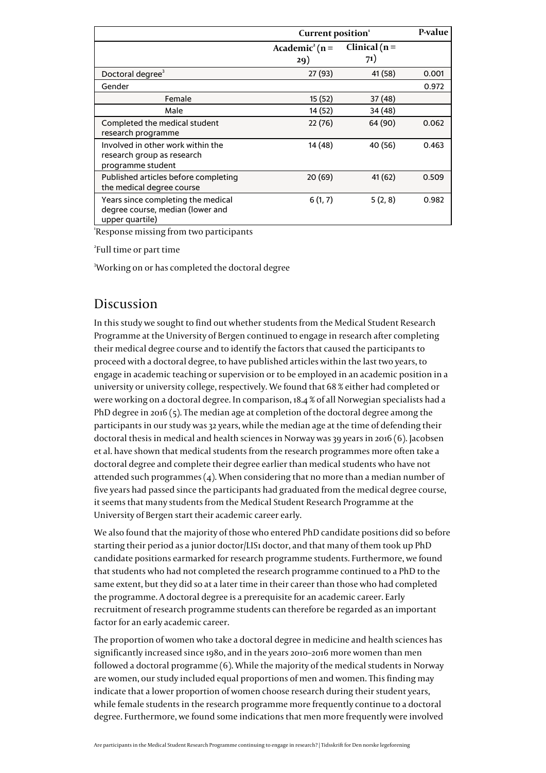|                                                                                           | Current position <sup>1</sup>        |                         | P-value |
|-------------------------------------------------------------------------------------------|--------------------------------------|-------------------------|---------|
|                                                                                           | Academic <sup>2</sup> ( $n =$<br>29) | Clinical ( $n =$<br>71) |         |
| Doctoral degree <sup>3</sup>                                                              | 27 (93)                              | 41 (58)                 | 0.001   |
| Gender                                                                                    |                                      |                         | 0.972   |
| Female                                                                                    | 15(52)                               | 37 (48)                 |         |
| Male                                                                                      | 14 (52)                              | 34 (48)                 |         |
| Completed the medical student<br>research programme                                       | 22(76)                               | 64 (90)                 | 0.062   |
| Involved in other work within the<br>research group as research<br>programme student      | 14 (48)                              | 40 (56)                 | 0.463   |
| Published articles before completing<br>the medical degree course                         | 20(69)                               | 41 (62)                 | 0.509   |
| Years since completing the medical<br>degree course, median (lower and<br>upper quartile) | 6(1, 7)                              | 5(2, 8)                 | 0.982   |

1 Response missing from two participants

2 Full time or part time

<sup>3</sup>Working on or has completed the doctoral degree

### Discussion

In this study we sought to find out whether students from the Medical Student Research Programme at the University of Bergen continued to engage in research after completing their medical degree course and to identify the factors that caused the participants to proceed with a doctoral degree, to have published articles within the last two years, to engage in academic teaching or supervision or to be employed in an academic position in a university or university college, respectively. We found that 68 % either had completed or were working on a doctoral degree. In comparison, 18.4 % of all Norwegian specialists had a PhD degree in 2016 [\(5\)](#page--1-0). The median age at completion of the doctoral degree among the participants in our study was 32 years, while the median age at the time of defending their doctoral thesis in medical and health sciences in Norway was 39 years in 2016 [\(6\)](#page--1-0). Jacobsen et al. have shown that medical students from the research programmes more often take a doctoral degree and complete their degree earlier than medical students who have not attended such programmes [\(4\)](#page--1-0). When considering that no more than a median number of five years had passed since the participants had graduated from the medical degree course, it seems that many students from the Medical Student Research Programme at the University of Bergen start their academic career early.

We also found that the majority of those who entered PhD candidate positions did so before starting their period as a junior doctor/LIS1 doctor, and that many of them took up PhD candidate positions earmarked for research programme students. Furthermore, we found that students who had not completed the research programme continued to a PhD to the same extent, but they did so at a later time in their career than those who had completed the programme. A doctoral degree is a prerequisite for an academic career. Early recruitment of research programme students can therefore be regarded as an important factor for an early academic career.

The proportion of women who take a doctoral degree in medicine and health sciences has significantly increased since 1980, and in the years 2010–2016 more women than men followed a doctoral programme [\(6\)](#page--1-0). While the majority of the medical students in Norway are women, our study included equal proportions of men and women. This finding may indicate that a lower proportion of women choose research during their student years, while female students in the research programme more frequently continue to a doctoral degree. Furthermore, we found some indications that men more frequently were involved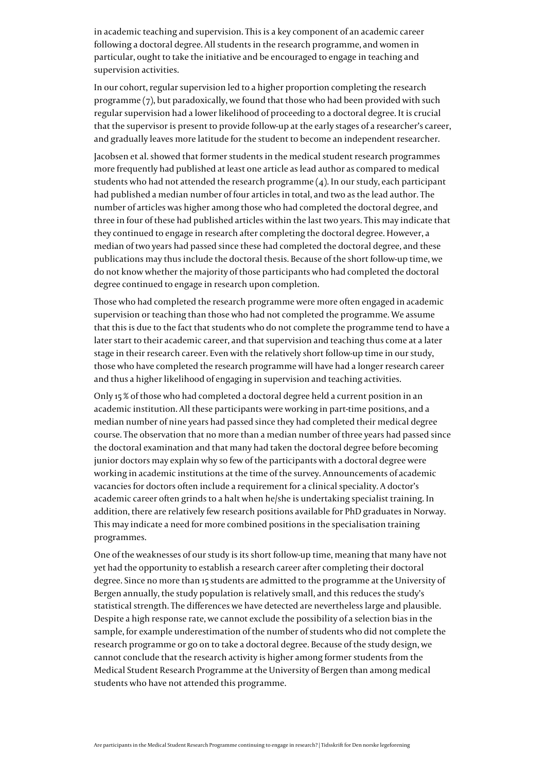in academic teaching and supervision. This is a key component of an academic career following a doctoral degree. All students in the research programme, and women in particular, ought to take the initiative and be encouraged to engage in teaching and supervision activities.

In our cohort, regular supervision led to a higher proportion completing the research programme [\(7\)](#page--1-0), but paradoxically, we found that those who had been provided with such regular supervision had a lower likelihood of proceeding to a doctoral degree. It is crucial that the supervisor is present to provide follow-up at the early stages of a researcher's career, and gradually leaves more latitude for the student to become an independent researcher.

Jacobsen et al. showed that former students in the medical student research programmes more frequently had published at least one article as lead author as compared to medical students who had not attended the research programme  $(4)$  $(4)$  $(4)$ . In our study, each participant had published a median number of four articles in total, and two as the lead author. The number of articles was higher among those who had completed the doctoral degree, and three in four of these had published articles within the last two years. This may indicate that they continued to engage in research after completing the doctoral degree. However, a median of two years had passed since these had completed the doctoral degree, and these publications may thus include the doctoral thesis. Because of the short follow-up time, we do not know whether the majority of those participants who had completed the doctoral degree continued to engage in research upon completion.

Those who had completed the research programme were more often engaged in academic supervision or teaching than those who had not completed the programme. We assume that this is due to the fact that students who do not complete the programme tend to have a later start to their academic career, and that supervision and teaching thus come at a later stage in their research career. Even with the relatively short follow-up time in our study, those who have completed the research programme will have had a longer research career and thus a higher likelihood of engaging in supervision and teaching activities.

Only 15 % of those who had completed a doctoral degree held a current position in an academic institution. All these participants were working in part-time positions, and a median number of nine years had passed since they had completed their medical degree course. The observation that no more than a median number of three years had passed since the doctoral examination and that many had taken the doctoral degree before becoming junior doctors may explain why so few of the participants with a doctoral degree were working in academic institutions at the time of the survey. Announcements of academic vacancies for doctors often include a requirement for a clinical speciality. A doctor's academic career often grinds to a halt when he/she is undertaking specialist training. In addition, there are relatively few research positions available for PhD graduates in Norway. This may indicate a need for more combined positions in the specialisation training programmes.

One of the weaknesses of our study is its short follow-up time, meaning that many have not yet had the opportunity to establish a research career after completing their doctoral degree. Since no more than 15 students are admitted to the programme at the University of Bergen annually, the study population is relatively small, and this reduces the study's statistical strength. The differences we have detected are nevertheless large and plausible. Despite a high response rate, we cannot exclude the possibility of a selection bias in the sample, for example underestimation of the number of students who did not complete the research programme or go on to take a doctoral degree. Because of the study design, we cannot conclude that the research activity is higher among former students from the Medical Student Research Programme at the University of Bergen than among medical students who have not attended this programme.